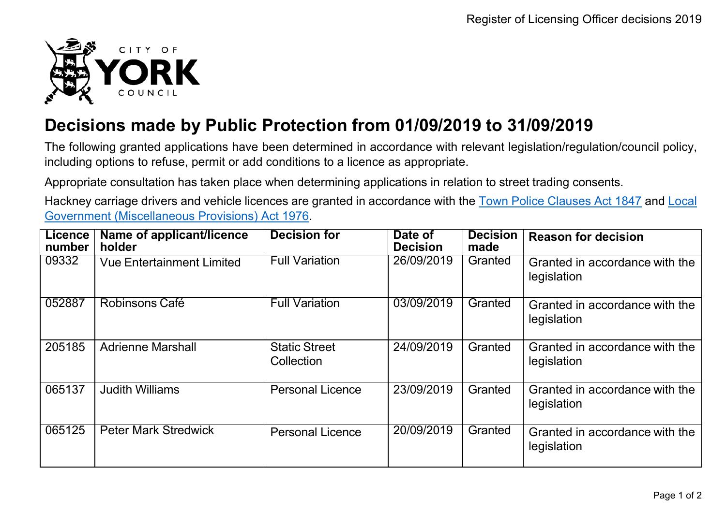

## **Decisions made by Public Protection from 01/09/2019 to 31/09/2019**

The following granted applications have been determined in accordance with relevant legislation/regulation/council policy, including options to refuse, permit or add conditions to a licence as appropriate.

Appropriate consultation has taken place when determining applications in relation to street trading consents.

Hackney carriage drivers and vehicle licences are granted in accordance with the Town Police [Clauses](http://www.legislation.gov.uk/ukpga/Vict/10-11/89) Act 1847 and [Local](http://www.legislation.gov.uk/ukpga/1976/57) [Government \(Miscellaneous Provisions\) Act 1976.](http://www.legislation.gov.uk/ukpga/1976/57)

| <b>Licence</b><br>number | Name of applicant/licence<br>holder | <b>Decision for</b>                | Date of<br><b>Decision</b> | <b>Decision</b><br>made | <b>Reason for decision</b>                    |
|--------------------------|-------------------------------------|------------------------------------|----------------------------|-------------------------|-----------------------------------------------|
| 09332                    | <b>Vue Entertainment Limited</b>    | <b>Full Variation</b>              | 26/09/2019                 | Granted                 | Granted in accordance with the<br>legislation |
| 052887                   | Robinsons Café                      | <b>Full Variation</b>              | 03/09/2019                 | Granted                 | Granted in accordance with the<br>legislation |
| 205185                   | <b>Adrienne Marshall</b>            | <b>Static Street</b><br>Collection | 24/09/2019                 | Granted                 | Granted in accordance with the<br>legislation |
| 065137                   | <b>Judith Williams</b>              | <b>Personal Licence</b>            | 23/09/2019                 | Granted                 | Granted in accordance with the<br>legislation |
| 065125                   | <b>Peter Mark Stredwick</b>         | <b>Personal Licence</b>            | 20/09/2019                 | Granted                 | Granted in accordance with the<br>legislation |